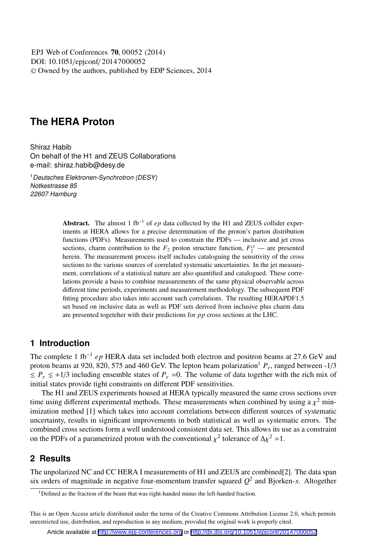DOI: 10.1051/epjconf/ 20147000052 -<sup>C</sup> Owned by the authors, published by EDP Sciences, 2014 EPJ Web of Conferences **70**, 00052 (2014)

# **The HERA Proton**

Shiraz Habib On behalf of the H1 and ZEUS Collaborations e-mail: shiraz.habib@desy.de

<sup>1</sup>Deutsches Elektronen-Synchrotron (DESY) Notkestrasse 85 22607 Hamburg

> Abstract. The almost 1 fb<sup>-1</sup> of *ep* data collected by the H1 and ZEUS collider experiments at HERA allows for a precise determination of the proton's parton distribution functions (PDFs). Measurements used to constrain the PDFs — inclusive and jet cross sections, charm contribution to the  $F_2$  proton structure function,  $F_2^{c\bar{c}}$  — are presented herein. The measurement process itself includes cataloguing the sensitivity of the cross sections to the various sources of correlated systematic uncertainties. In the jet measurement, correlations of a statistical nature are also quantified and catalogued. These correlations provide a basis to combine measurements of the same physical observable across different time periods, experiments and measurement methodology. The subsequent PDF fitting procedure also takes into account such correlations. The resulting HERAPDF1.5 set based on inclusive data as well as PDF sets derived from inclusive plus charm data are presented togeteher with their predictions for *pp* cross sections at the LHC.

### **1 Introduction**

The complete 1 fb−<sup>1</sup> *ep* HERA data set included both electron and positron beams at 27.6 GeV and proton beams at 920, 820, 575 and 460 GeV. The lepton beam polarization<sup>1</sup>  $P_e$ , ranged between -1/3  $\leq P_e \leq +1/3$  including ensemble states of  $P_e$  =0. The volume of data together with the rich mix of initial states provide tight constraints on different PDF sensitivities.

The H1 and ZEUS experiments housed at HERA typically measured the same cross sections over time using different experimental methods. These measurements when combined by using a  $\chi^2$  minimization method [1] which takes into account correlations between different sources of systematic uncertainty, results in significant improvements in both statistical as well as systematic errors. The combined cross sections form a well understood consistent data set. This allows its use as a constraint on the PDFs of a parametrized proton with the conventional  $\chi^2$  tolerance of  $\Delta \chi^2 = 1$ .

### **2 Results**

The unpolarized NC and CC HERA I measurements of H1 and ZEUS are combined[2]. The data span six orders of magnitude in negative four-momentum transfer squared  $Q^2$  and Bjorken-*x*. Altogether

This is an Open Access article distributed under the terms of the Creative Commons Attribution License 2.0, which permits unrestricted use, distribution, and reproduction in any medium, provided the original work is properly cited.

Article available at <http://www.epj-conferences.org> or <http://dx.doi.org/10.1051/epjconf/20147000052>

 $1$ Defined as the fraction of the beam that was right-handed minus the left-handed fraction.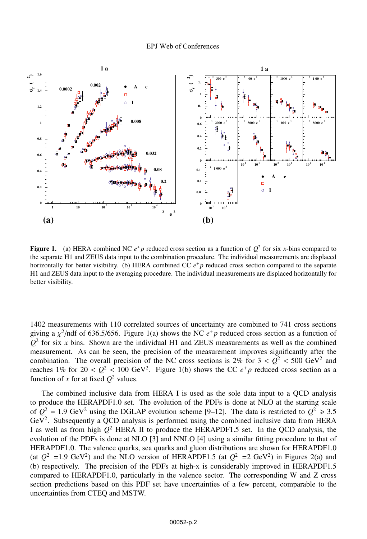

**Figure 1.** (a) HERA combined NC  $e^+p$  reduced cross section as a function of  $Q^2$  for six *x*-bins compared to the separate H1 and ZEUS data input to the combination procedure. The individual measurements are displaced horizontally for better visibility. (b) HERA combined CC  $e^+p$  reduced cross section compared to the separate H1 and ZEUS data input to the averaging procedure. The individual measurements are displaced horizontally for better visibility.

1402 measurements with 110 correlated sources of uncertainty are combined to 741 cross sections giving a  $\chi^2$ /ndf of 636.5/656. Figure 1(a) shows the NC  $e^+$  *p* reduced cross section as a function of  $Q<sup>2</sup>$  for six *x* bins. Shown are the individual H1 and ZEUS measurements as well as the combined measurement. As can be seen, the precision of the measurement improves significantly after the combination. The overall precision of the NC cross sections is  $2\%$  for  $3 < Q^2 < 500$  GeV<sup>2</sup> and reaches 1% for  $20 < Q^2 < 100 \text{ GeV}^2$ . Figure 1(b) shows the CC  $e^+p$  reduced cross section as a function of *x* for at fixed  $Q^2$  values.

The combined inclusive data from HERA I is used as the sole data input to a QCD analysis to produce the HERAPDF1.0 set. The evolution of the PDFs is done at NLO at the starting scale of  $Q^2 = 1.9$  GeV<sup>2</sup> using the DGLAP evolution scheme [9–12]. The data is restricted to  $Q^2 \ge 3.5$ GeV2. Subsequently a QCD analysis is performed using the combined inclusive data from HERA I as well as from high  $Q^2$  HERA II to produce the HERAPDF1.5 set. In the QCD analysis, the evolution of the PDFs is done at NLO [3] and NNLO [4] using a similar fitting procedure to that of HERAPDF1.0. The valence quarks, sea quarks and gluon distributions are shown for HERAPDF1.0 (at  $Q^2$  =1.9 GeV<sup>2</sup>) and the NLO version of HERAPDF1.5 (at  $Q^2$  =2 GeV<sup>2</sup>) in Figures 2(a) and (b) respectively. The precision of the PDFs at high-x is considerably improved in HERAPDF1.5 compared to HERAPDF1.0, particularly in the valence sector. The corresponding W and Z cross section predictions based on this PDF set have uncertainties of a few percent, comparable to the uncertainties from CTEQ and MSTW.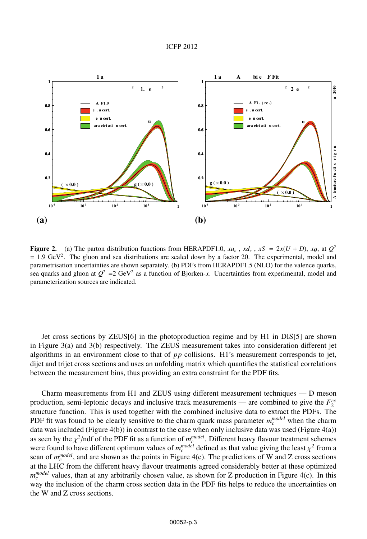#### ICFP 2012



Figure 2. (a) The parton distribution functions from HERAPDF1.0,  $xu_v$ ,  $xdv$ ,  $xS = 2x(U + D)$ ,  $xg$ , at  $Q^2$  $= 1.9$  GeV<sup>2</sup>. The gluon and sea distributions are scaled down by a factor 20. The experimental, model and parametrisation uncertainties are shown separately. (b) PDFs from HERAPDF1.5 (NLO) for the valence quarks, sea quarks and gluon at  $Q^2 = 2 \text{ GeV}^2$  as a function of Bjorken-*x*. Uncertainties from experimental, model and parameterization sources are indicated.

Jet cross sections by ZEUS[6] in the photoproduction regime and by H1 in DIS[5] are shown in Figure 3(a) and 3(b) respectively. The ZEUS measurement takes into consideration different jet algorithms in an environment close to that of *pp* collisions. H1's measurement corresponds to jet, dijet and trijet cross sections and uses an unfolding matrix which quantifies the statistical correlations between the measurement bins, thus providing an extra constraint for the PDF fits.

Charm measurements from H1 and ZEUS using different measurement techniques — D meson production, semi-leptonic decays and inclusive track measurements — are combined to give the  $F_2^{c\bar{c}}$ structure function. This is used together with the combined inclusive data to extract the PDFs. The PDF fit was found to be clearly sensitive to the charm quark mass parameter  $m_c^{model}$  when the charm data was included (Figure 4(b)) in contrast to the case when only inclusive data was used (Figure 4(a)) as seen by the  $\chi^2$ /ndf of the PDF fit as a function of  $m_c^{model}$ . Different heavy flavour treatment schemes<br>were found to have different optimum values of  $m^{model}$  defined as that value giving the least  $\chi^2$  from a were found to have different optimum values of  $m_c^{model}$  defined as that value giving the least  $\chi^2$  from a scan of  $m_c^{model}$  and are shown as the points in Figure  $A(c)$ . The predictions of W and Z cross sections scan of  $m_c^{model}$ , and are shown as the points in Figure 4(c). The predictions of W and Z cross sections at the LHC from the different heavy flavour treatments agreed considerably better at these optimized *m*<sup>model</sup> values, than at any arbitrarily chosen value, as shown for Z production in Figure 4(c). In this way the inclusion of the charm cross section data in the PDF fits helps to reduce the uncertainties on the W and Z cross sections.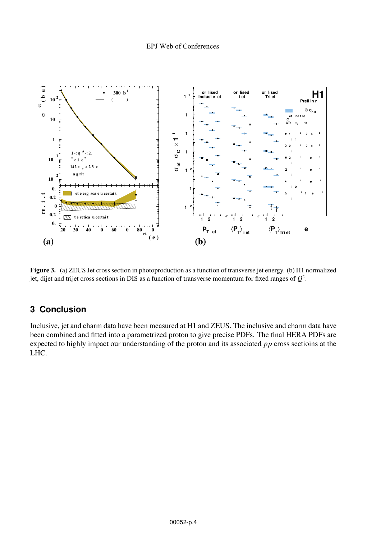

Figure 3. (a) ZEUS Jet cross section in photoproduction as a function of transverse jet energy. (b) H1 normalized jet, dijet and trijet cross sections in DIS as a function of transverse momentum for fixed ranges of  $Q^2$ .

## 3 Conclusion

Inclusive, jet and charm data have been measured at H1 and ZEUS. The inclusive and charm data have been combined and fitted into a parametrized proton to give precise PDFs. The final HERA PDFs are expected to highly impact our understanding of the proton and its associated  $pp$  cross sections at the LHC.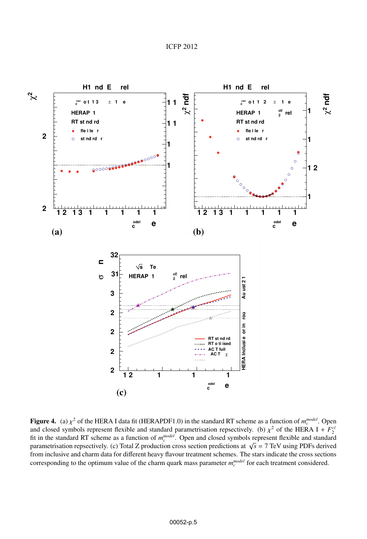

**Figure 4.** (a)  $\chi^2$  of the HERA I data fit (HERAPDF1.0) in the standard RT scheme as a function of  $m_c^{model}$ . Open and closed symbols represent flexible and standard parametrisation representively. (b)  $\chi^2$  of the HERA and closed symbols represent flexible and standard parametrisation repsectively. (b)  $\chi^2$  of the HERA I +  $F_2^{c\bar{c}}$ fit in the standard RT scheme as a function of  $m_c^{model}$ . Open and closed symbols represent flexible and standard parametrisation repsectively. (c) Total Z production cross section predictions at  $\sqrt{s}$  = 7 TeV using PDFs derived from inclusive and charm data for different heavy flavour treatment schemes. The stars indicate the cross sections corresponding to the optimum value of the charm quark mass parameter  $m_c^{model}$  for each treatment considered.